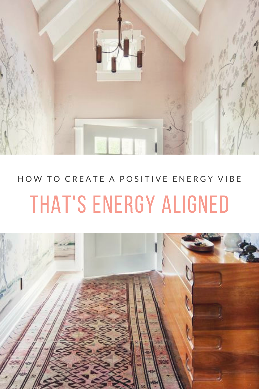

## HOW TO CREATE A POSITIVE ENERGY VIBE THAT'S ENERGY ALIGNED

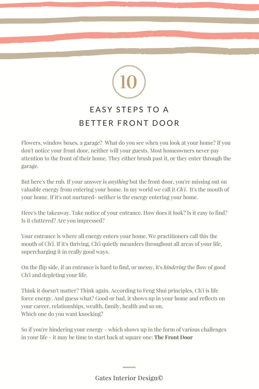## 10 EASY STEPS TO A BETTER FRONT DOOR

Flowers, window boxes, a garage? What do you see when you look at your home? If you don't notice your front door, neither will your guests. Most homeowners never pay attention to the front of their home. They either brush past it, or they enter through the garage.

But here's the rub. If your answer is *anything* but the front door, you're missing out on valuable energy from entering your home. In my world we call it *Ch'i*. It's the mouth of your home. If it's not nurtured- neither is the energy entering your home.

Here's the takeaway. Take notice of your entrance. How does it look? Is it easy to find? Is it cluttered? Are you impressed?

Your entrance is where all energy enters your home. We practitioners call this the mouth of Ch'i. If it's thriving, Ch'i quietly meanders throughout all areas of your life, supercharging it in really good ways.

On the flip side, if an entrance is hard to find, or messy, it's *hindering* the flow of good Ch'i and depleting your life.

Think it doesn't matter? Think again. According to Feng Shui principles, Ch'i is life force energy. And guess what? Good or bad, it shows up in your home and reflects on your career, relationships, wealth, family, health and so on. Which one do you want knocking?

So if you're hindering your energy - which shows up in the form of various challenges in your life - it may be time to start back at square one: **The Front Door**

Gates Interior Design©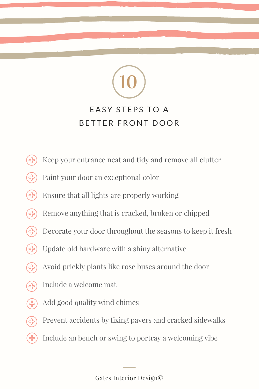## EASY STEPS TO A BETTER FRONT DOOR

10

- Keep your entrance neat and tidy and remove all clutter
- Paint your door an exceptional color
- $\bigoplus$ Ensure that all lights are properly working
- Remove anything that is cracked, broken or chipped <u>်</u><br>(၂)
- Decorate your door throughout the seasons to keep it fresh  $\left( \cdot \right)$
- $\left( 4 \right)$ Update old hardware with a shiny alternative
- Avoid prickly plants like rose buses around the door ႃ<br>ၛႝ
- Include a welcome mat
- $\bigoplus$ Add good quality wind chimes
- Prevent accidents by fixing pavers and cracked sidewalks ြင
- Include an bench or swing to portray a welcoming vibe(၂)

Gates Interior Design©